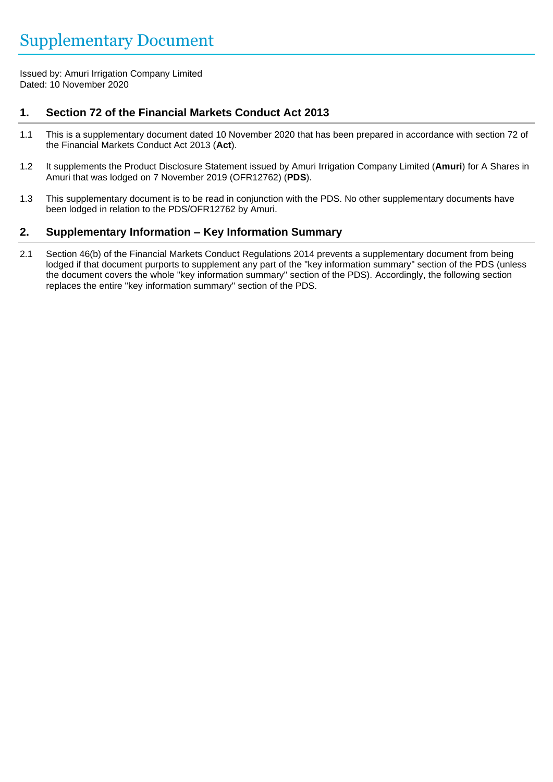Issued by: Amuri Irrigation Company Limited Dated: 10 November 2020

# **1. Section 72 of the Financial Markets Conduct Act 2013**

- 1.1 This is a supplementary document dated 10 November 2020 that has been prepared in accordance with section 72 of the Financial Markets Conduct Act 2013 (**Act**).
- 1.2 It supplements the Product Disclosure Statement issued by Amuri Irrigation Company Limited (**Amuri**) for A Shares in Amuri that was lodged on 7 November 2019 (OFR12762) (**PDS**).
- 1.3 This supplementary document is to be read in conjunction with the PDS. No other supplementary documents have been lodged in relation to the PDS/OFR12762 by Amuri.

## **2. Supplementary Information – Key Information Summary**

2.1 Section 46(b) of the Financial Markets Conduct Regulations 2014 prevents a supplementary document from being lodged if that document purports to supplement any part of the "key information summary" section of the PDS (unless the document covers the whole "key information summary" section of the PDS). Accordingly, the following section replaces the entire "key information summary" section of the PDS.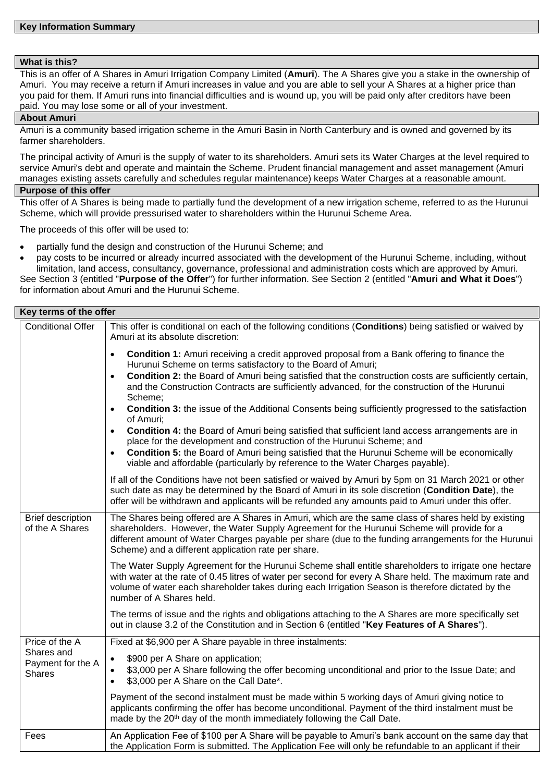#### **What is this?**

This is an offer of A Shares in Amuri Irrigation Company Limited (**Amuri**). The A Shares give you a stake in the ownership of Amuri. You may receive a return if Amuri increases in value and you are able to sell your A Shares at a higher price than you paid for them. If Amuri runs into financial difficulties and is wound up, you will be paid only after creditors have been paid. You may lose some or all of your investment.

#### **About Amuri**

Amuri is a community based irrigation scheme in the Amuri Basin in North Canterbury and is owned and governed by its farmer shareholders.

The principal activity of Amuri is the supply of water to its shareholders. Amuri sets its Water Charges at the level required to service Amuri's debt and operate and maintain the Scheme. Prudent financial management and asset management (Amuri manages existing assets carefully and schedules regular maintenance) keeps Water Charges at a reasonable amount.

#### **Purpose of this offer**

This offer of A Shares is being made to partially fund the development of a new irrigation scheme, referred to as the Hurunui Scheme, which will provide pressurised water to shareholders within the Hurunui Scheme Area.

The proceeds of this offer will be used to:

- partially fund the design and construction of the Hurunui Scheme; and
- pay costs to be incurred or already incurred associated with the development of the Hurunui Scheme, including, without limitation, land access, consultancy, governance, professional and administration costs which are approved by Amuri.

See Section 3 (entitled "**Purpose of the Offer**") for further information. See Section 2 (entitled "**Amuri and What it Does**") for information about Amuri and the Hurunui Scheme.

| Key terms of the offer                                             |                                                                                                                                                                                                                                                                                                                                                                                                                                                                                                                                                                                                                                                                                                                                                                                                                                                                                                                                                                 |  |
|--------------------------------------------------------------------|-----------------------------------------------------------------------------------------------------------------------------------------------------------------------------------------------------------------------------------------------------------------------------------------------------------------------------------------------------------------------------------------------------------------------------------------------------------------------------------------------------------------------------------------------------------------------------------------------------------------------------------------------------------------------------------------------------------------------------------------------------------------------------------------------------------------------------------------------------------------------------------------------------------------------------------------------------------------|--|
| <b>Conditional Offer</b>                                           | This offer is conditional on each of the following conditions (Conditions) being satisfied or waived by<br>Amuri at its absolute discretion:                                                                                                                                                                                                                                                                                                                                                                                                                                                                                                                                                                                                                                                                                                                                                                                                                    |  |
|                                                                    | <b>Condition 1:</b> Amuri receiving a credit approved proposal from a Bank offering to finance the<br>$\bullet$<br>Hurunui Scheme on terms satisfactory to the Board of Amuri;<br><b>Condition 2:</b> the Board of Amuri being satisfied that the construction costs are sufficiently certain,<br>$\bullet$<br>and the Construction Contracts are sufficiently advanced, for the construction of the Hurunui<br>Scheme;<br><b>Condition 3:</b> the issue of the Additional Consents being sufficiently progressed to the satisfaction<br>$\bullet$<br>of Amuri;<br>Condition 4: the Board of Amuri being satisfied that sufficient land access arrangements are in<br>$\bullet$<br>place for the development and construction of the Hurunui Scheme; and<br><b>Condition 5:</b> the Board of Amuri being satisfied that the Hurunui Scheme will be economically<br>$\bullet$<br>viable and affordable (particularly by reference to the Water Charges payable). |  |
|                                                                    | If all of the Conditions have not been satisfied or waived by Amuri by 5pm on 31 March 2021 or other<br>such date as may be determined by the Board of Amuri in its sole discretion (Condition Date), the<br>offer will be withdrawn and applicants will be refunded any amounts paid to Amuri under this offer.                                                                                                                                                                                                                                                                                                                                                                                                                                                                                                                                                                                                                                                |  |
| <b>Brief description</b><br>of the A Shares                        | The Shares being offered are A Shares in Amuri, which are the same class of shares held by existing<br>shareholders. However, the Water Supply Agreement for the Hurunui Scheme will provide for a<br>different amount of Water Charges payable per share (due to the funding arrangements for the Hurunui<br>Scheme) and a different application rate per share.                                                                                                                                                                                                                                                                                                                                                                                                                                                                                                                                                                                               |  |
|                                                                    | The Water Supply Agreement for the Hurunui Scheme shall entitle shareholders to irrigate one hectare<br>with water at the rate of 0.45 litres of water per second for every A Share held. The maximum rate and<br>volume of water each shareholder takes during each Irrigation Season is therefore dictated by the<br>number of A Shares held.                                                                                                                                                                                                                                                                                                                                                                                                                                                                                                                                                                                                                 |  |
|                                                                    | The terms of issue and the rights and obligations attaching to the A Shares are more specifically set<br>out in clause 3.2 of the Constitution and in Section 6 (entitled "Key Features of A Shares").                                                                                                                                                                                                                                                                                                                                                                                                                                                                                                                                                                                                                                                                                                                                                          |  |
| Price of the A<br>Shares and<br>Payment for the A<br><b>Shares</b> | Fixed at \$6,900 per A Share payable in three instalments:<br>\$900 per A Share on application;<br>$\bullet$<br>\$3,000 per A Share following the offer becoming unconditional and prior to the Issue Date; and<br>\$3,000 per A Share on the Call Date*.<br>$\bullet$                                                                                                                                                                                                                                                                                                                                                                                                                                                                                                                                                                                                                                                                                          |  |
|                                                                    | Payment of the second instalment must be made within 5 working days of Amuri giving notice to<br>applicants confirming the offer has become unconditional. Payment of the third instalment must be<br>made by the 20 <sup>th</sup> day of the month immediately following the Call Date.                                                                                                                                                                                                                                                                                                                                                                                                                                                                                                                                                                                                                                                                        |  |
| Fees                                                               | An Application Fee of \$100 per A Share will be payable to Amuri's bank account on the same day that<br>the Application Form is submitted. The Application Fee will only be refundable to an applicant if their                                                                                                                                                                                                                                                                                                                                                                                                                                                                                                                                                                                                                                                                                                                                                 |  |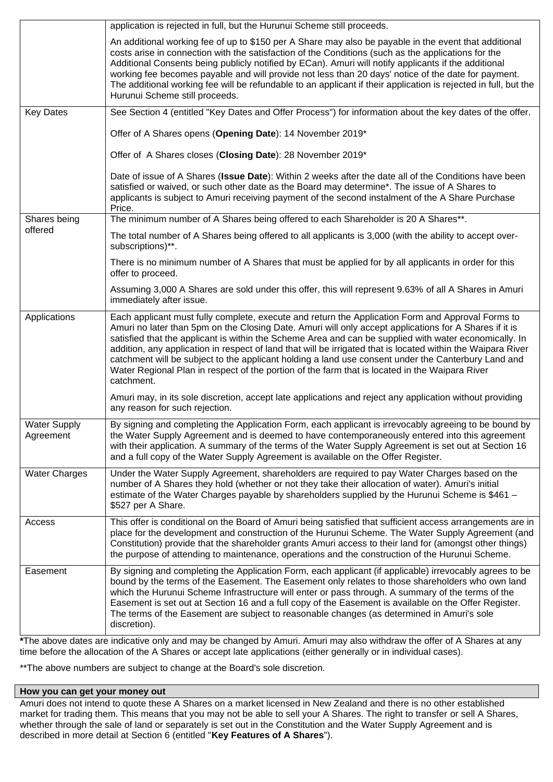| application is rejected in full, but the Hurunui Scheme still proceeds.                                                                                                                                                                                                                                                                                                                                                                                                                                                                                                                                                                                      |
|--------------------------------------------------------------------------------------------------------------------------------------------------------------------------------------------------------------------------------------------------------------------------------------------------------------------------------------------------------------------------------------------------------------------------------------------------------------------------------------------------------------------------------------------------------------------------------------------------------------------------------------------------------------|
| An additional working fee of up to \$150 per A Share may also be payable in the event that additional<br>costs arise in connection with the satisfaction of the Conditions (such as the applications for the<br>Additional Consents being publicly notified by ECan). Amuri will notify applicants if the additional<br>working fee becomes payable and will provide not less than 20 days' notice of the date for payment.<br>The additional working fee will be refundable to an applicant if their application is rejected in full, but the<br>Hurunui Scheme still proceeds.                                                                             |
| See Section 4 (entitled "Key Dates and Offer Process") for information about the key dates of the offer.                                                                                                                                                                                                                                                                                                                                                                                                                                                                                                                                                     |
| Offer of A Shares opens (Opening Date): 14 November 2019*                                                                                                                                                                                                                                                                                                                                                                                                                                                                                                                                                                                                    |
| Offer of A Shares closes (Closing Date): 28 November 2019*                                                                                                                                                                                                                                                                                                                                                                                                                                                                                                                                                                                                   |
| Date of issue of A Shares (Issue Date): Within 2 weeks after the date all of the Conditions have been<br>satisfied or waived, or such other date as the Board may determine*. The issue of A Shares to<br>applicants is subject to Amuri receiving payment of the second instalment of the A Share Purchase<br>Price.                                                                                                                                                                                                                                                                                                                                        |
| The minimum number of A Shares being offered to each Shareholder is 20 A Shares**.                                                                                                                                                                                                                                                                                                                                                                                                                                                                                                                                                                           |
| The total number of A Shares being offered to all applicants is 3,000 (with the ability to accept over-<br>subscriptions)**.                                                                                                                                                                                                                                                                                                                                                                                                                                                                                                                                 |
| There is no minimum number of A Shares that must be applied for by all applicants in order for this<br>offer to proceed.                                                                                                                                                                                                                                                                                                                                                                                                                                                                                                                                     |
| Assuming 3,000 A Shares are sold under this offer, this will represent 9.63% of all A Shares in Amuri<br>immediately after issue.                                                                                                                                                                                                                                                                                                                                                                                                                                                                                                                            |
| Each applicant must fully complete, execute and return the Application Form and Approval Forms to<br>Amuri no later than 5pm on the Closing Date. Amuri will only accept applications for A Shares if it is<br>satisfied that the applicant is within the Scheme Area and can be supplied with water economically. In<br>addition, any application in respect of land that will be irrigated that is located within the Waipara River<br>catchment will be subject to the applicant holding a land use consent under the Canterbury Land and<br>Water Regional Plan in respect of the portion of the farm that is located in the Waipara River<br>catchment. |
| Amuri may, in its sole discretion, accept late applications and reject any application without providing<br>any reason for such rejection.                                                                                                                                                                                                                                                                                                                                                                                                                                                                                                                   |
| By signing and completing the Application Form, each applicant is irrevocably agreeing to be bound by<br>the Water Supply Agreement and is deemed to have contemporaneously entered into this agreement<br>with their application. A summary of the terms of the Water Supply Agreement is set out at Section 16<br>and a full copy of the Water Supply Agreement is available on the Offer Register.                                                                                                                                                                                                                                                        |
| Under the Water Supply Agreement, shareholders are required to pay Water Charges based on the<br>number of A Shares they hold (whether or not they take their allocation of water). Amuri's initial<br>estimate of the Water Charges payable by shareholders supplied by the Hurunui Scheme is \$461 -<br>\$527 per A Share.                                                                                                                                                                                                                                                                                                                                 |
| This offer is conditional on the Board of Amuri being satisfied that sufficient access arrangements are in<br>place for the development and construction of the Hurunui Scheme. The Water Supply Agreement (and<br>Constitution) provide that the shareholder grants Amuri access to their land for (amongst other things)<br>the purpose of attending to maintenance, operations and the construction of the Hurunui Scheme.                                                                                                                                                                                                                                |
| By signing and completing the Application Form, each applicant (if applicable) irrevocably agrees to be<br>bound by the terms of the Easement. The Easement only relates to those shareholders who own land<br>which the Hurunui Scheme Infrastructure will enter or pass through. A summary of the terms of the<br>Easement is set out at Section 16 and a full copy of the Easement is available on the Offer Register.<br>The terms of the Easement are subject to reasonable changes (as determined in Amuri's sole<br>discretion).                                                                                                                      |
|                                                                                                                                                                                                                                                                                                                                                                                                                                                                                                                                                                                                                                                              |

**\***The above dates are indicative only and may be changed by Amuri. Amuri may also withdraw the offer of A Shares at any time before the allocation of the A Shares or accept late applications (either generally or in individual cases).

\*\*The above numbers are subject to change at the Board's sole discretion.

## **How you can get your money out**

Amuri does not intend to quote these A Shares on a market licensed in New Zealand and there is no other established market for trading them. This means that you may not be able to sell your A Shares. The right to transfer or sell A Shares, whether through the sale of land or separately is set out in the Constitution and the Water Supply Agreement and is described in more detail at Section 6 (entitled "**Key Features of A Shares**").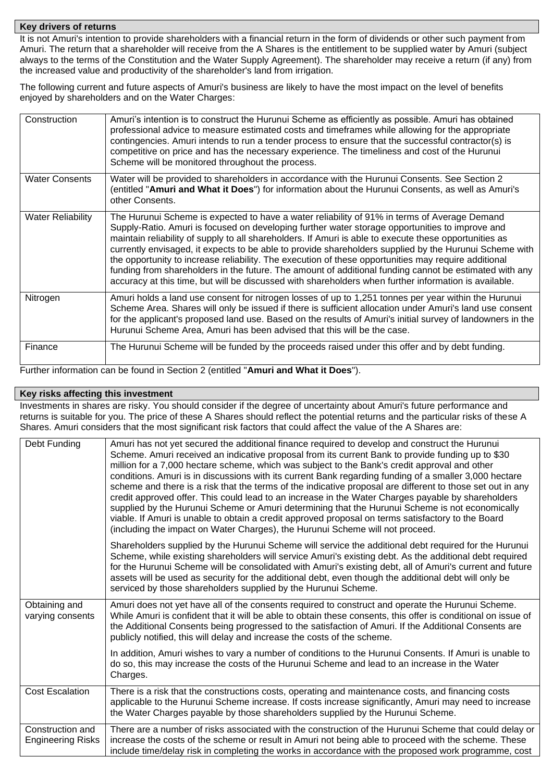#### **Key drivers of returns**

It is not Amuri's intention to provide shareholders with a financial return in the form of dividends or other such payment from Amuri. The return that a shareholder will receive from the A Shares is the entitlement to be supplied water by Amuri (subject always to the terms of the Constitution and the Water Supply Agreement). The shareholder may receive a return (if any) from the increased value and productivity of the shareholder's land from irrigation.

The following current and future aspects of Amuri's business are likely to have the most impact on the level of benefits enjoyed by shareholders and on the Water Charges:

| Construction             | Amuri's intention is to construct the Hurunui Scheme as efficiently as possible. Amuri has obtained<br>professional advice to measure estimated costs and timeframes while allowing for the appropriate<br>contingencies. Amuri intends to run a tender process to ensure that the successful contractor(s) is<br>competitive on price and has the necessary experience. The timeliness and cost of the Hurunui<br>Scheme will be monitored throughout the process.                                                                                                                                                                                                                                                                            |
|--------------------------|------------------------------------------------------------------------------------------------------------------------------------------------------------------------------------------------------------------------------------------------------------------------------------------------------------------------------------------------------------------------------------------------------------------------------------------------------------------------------------------------------------------------------------------------------------------------------------------------------------------------------------------------------------------------------------------------------------------------------------------------|
| <b>Water Consents</b>    | Water will be provided to shareholders in accordance with the Hurunui Consents. See Section 2<br>(entitled "Amuri and What it Does") for information about the Hurunui Consents, as well as Amuri's<br>other Consents.                                                                                                                                                                                                                                                                                                                                                                                                                                                                                                                         |
| <b>Water Reliability</b> | The Hurunui Scheme is expected to have a water reliability of 91% in terms of Average Demand<br>Supply-Ratio. Amuri is focused on developing further water storage opportunities to improve and<br>maintain reliability of supply to all shareholders. If Amuri is able to execute these opportunities as<br>currently envisaged, it expects to be able to provide shareholders supplied by the Hurunui Scheme with<br>the opportunity to increase reliability. The execution of these opportunities may require additional<br>funding from shareholders in the future. The amount of additional funding cannot be estimated with any<br>accuracy at this time, but will be discussed with shareholders when further information is available. |
| Nitrogen                 | Amuri holds a land use consent for nitrogen losses of up to 1,251 tonnes per year within the Hurunui<br>Scheme Area. Shares will only be issued if there is sufficient allocation under Amuri's land use consent<br>for the applicant's proposed land use. Based on the results of Amuri's initial survey of landowners in the<br>Hurunui Scheme Area, Amuri has been advised that this will be the case.                                                                                                                                                                                                                                                                                                                                      |
| Finance                  | The Hurunui Scheme will be funded by the proceeds raised under this offer and by debt funding.                                                                                                                                                                                                                                                                                                                                                                                                                                                                                                                                                                                                                                                 |

Further information can be found in Section 2 (entitled "**Amuri and What it Does**").

### **Key risks affecting this investment**

Investments in shares are risky. You should consider if the degree of uncertainty about Amuri's future performance and returns is suitable for you. The price of these A Shares should reflect the potential returns and the particular risks of these A Shares. Amuri considers that the most significant risk factors that could affect the value of the A Shares are:

| Debt Funding                                 | Amuri has not yet secured the additional finance required to develop and construct the Hurunui<br>Scheme. Amuri received an indicative proposal from its current Bank to provide funding up to \$30<br>million for a 7,000 hectare scheme, which was subject to the Bank's credit approval and other<br>conditions. Amuri is in discussions with its current Bank regarding funding of a smaller 3,000 hectare<br>scheme and there is a risk that the terms of the indicative proposal are different to those set out in any<br>credit approved offer. This could lead to an increase in the Water Charges payable by shareholders<br>supplied by the Hurunui Scheme or Amuri determining that the Hurunui Scheme is not economically<br>viable. If Amuri is unable to obtain a credit approved proposal on terms satisfactory to the Board<br>(including the impact on Water Charges), the Hurunui Scheme will not proceed. |
|----------------------------------------------|------------------------------------------------------------------------------------------------------------------------------------------------------------------------------------------------------------------------------------------------------------------------------------------------------------------------------------------------------------------------------------------------------------------------------------------------------------------------------------------------------------------------------------------------------------------------------------------------------------------------------------------------------------------------------------------------------------------------------------------------------------------------------------------------------------------------------------------------------------------------------------------------------------------------------|
|                                              | Shareholders supplied by the Hurunui Scheme will service the additional debt required for the Hurunui<br>Scheme, while existing shareholders will service Amuri's existing debt. As the additional debt required<br>for the Hurunui Scheme will be consolidated with Amuri's existing debt, all of Amuri's current and future<br>assets will be used as security for the additional debt, even though the additional debt will only be<br>serviced by those shareholders supplied by the Hurunui Scheme.                                                                                                                                                                                                                                                                                                                                                                                                                     |
| Obtaining and<br>varying consents            | Amuri does not yet have all of the consents required to construct and operate the Hurunui Scheme.<br>While Amuri is confident that it will be able to obtain these consents, this offer is conditional on issue of<br>the Additional Consents being progressed to the satisfaction of Amuri. If the Additional Consents are<br>publicly notified, this will delay and increase the costs of the scheme.                                                                                                                                                                                                                                                                                                                                                                                                                                                                                                                      |
|                                              | In addition, Amuri wishes to vary a number of conditions to the Hurunui Consents. If Amuri is unable to<br>do so, this may increase the costs of the Hurunui Scheme and lead to an increase in the Water<br>Charges.                                                                                                                                                                                                                                                                                                                                                                                                                                                                                                                                                                                                                                                                                                         |
| <b>Cost Escalation</b>                       | There is a risk that the constructions costs, operating and maintenance costs, and financing costs<br>applicable to the Hurunui Scheme increase. If costs increase significantly, Amuri may need to increase<br>the Water Charges payable by those shareholders supplied by the Hurunui Scheme.                                                                                                                                                                                                                                                                                                                                                                                                                                                                                                                                                                                                                              |
| Construction and<br><b>Engineering Risks</b> | There are a number of risks associated with the construction of the Hurunui Scheme that could delay or<br>increase the costs of the scheme or result in Amuri not being able to proceed with the scheme. These<br>include time/delay risk in completing the works in accordance with the proposed work programme, cost                                                                                                                                                                                                                                                                                                                                                                                                                                                                                                                                                                                                       |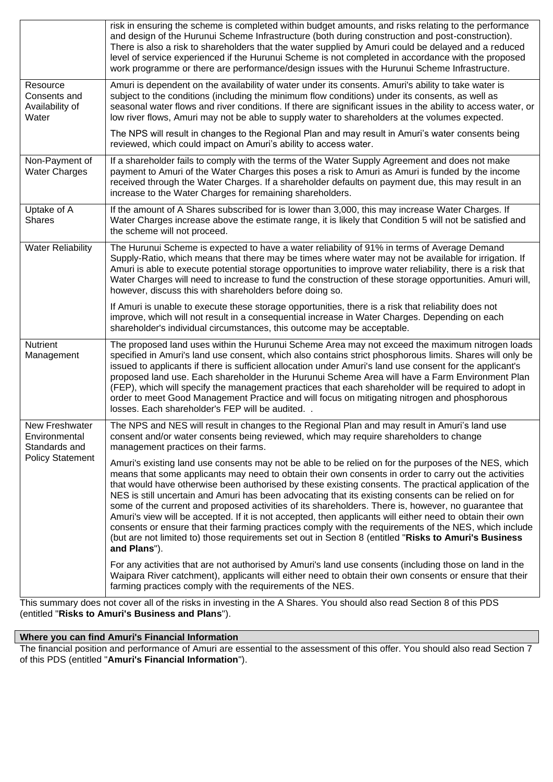|                                                      | risk in ensuring the scheme is completed within budget amounts, and risks relating to the performance<br>and design of the Hurunui Scheme Infrastructure (both during construction and post-construction).<br>There is also a risk to shareholders that the water supplied by Amuri could be delayed and a reduced<br>level of service experienced if the Hurunui Scheme is not completed in accordance with the proposed<br>work programme or there are performance/design issues with the Hurunui Scheme Infrastructure.                                                                                                                                                                                                                                                                                                                                                                 |
|------------------------------------------------------|--------------------------------------------------------------------------------------------------------------------------------------------------------------------------------------------------------------------------------------------------------------------------------------------------------------------------------------------------------------------------------------------------------------------------------------------------------------------------------------------------------------------------------------------------------------------------------------------------------------------------------------------------------------------------------------------------------------------------------------------------------------------------------------------------------------------------------------------------------------------------------------------|
| Resource<br>Consents and<br>Availability of<br>Water | Amuri is dependent on the availability of water under its consents. Amuri's ability to take water is<br>subject to the conditions (including the minimum flow conditions) under its consents, as well as<br>seasonal water flows and river conditions. If there are significant issues in the ability to access water, or<br>low river flows, Amuri may not be able to supply water to shareholders at the volumes expected.                                                                                                                                                                                                                                                                                                                                                                                                                                                               |
|                                                      | The NPS will result in changes to the Regional Plan and may result in Amuri's water consents being<br>reviewed, which could impact on Amuri's ability to access water.                                                                                                                                                                                                                                                                                                                                                                                                                                                                                                                                                                                                                                                                                                                     |
| Non-Payment of<br><b>Water Charges</b>               | If a shareholder fails to comply with the terms of the Water Supply Agreement and does not make<br>payment to Amuri of the Water Charges this poses a risk to Amuri as Amuri is funded by the income<br>received through the Water Charges. If a shareholder defaults on payment due, this may result in an<br>increase to the Water Charges for remaining shareholders.                                                                                                                                                                                                                                                                                                                                                                                                                                                                                                                   |
| Uptake of A<br><b>Shares</b>                         | If the amount of A Shares subscribed for is lower than 3,000, this may increase Water Charges. If<br>Water Charges increase above the estimate range, it is likely that Condition 5 will not be satisfied and<br>the scheme will not proceed.                                                                                                                                                                                                                                                                                                                                                                                                                                                                                                                                                                                                                                              |
| <b>Water Reliability</b>                             | The Hurunui Scheme is expected to have a water reliability of 91% in terms of Average Demand<br>Supply-Ratio, which means that there may be times where water may not be available for irrigation. If<br>Amuri is able to execute potential storage opportunities to improve water reliability, there is a risk that<br>Water Charges will need to increase to fund the construction of these storage opportunities. Amuri will,<br>however, discuss this with shareholders before doing so.                                                                                                                                                                                                                                                                                                                                                                                               |
|                                                      | If Amuri is unable to execute these storage opportunities, there is a risk that reliability does not<br>improve, which will not result in a consequential increase in Water Charges. Depending on each<br>shareholder's individual circumstances, this outcome may be acceptable.                                                                                                                                                                                                                                                                                                                                                                                                                                                                                                                                                                                                          |
| <b>Nutrient</b><br>Management                        | The proposed land uses within the Hurunui Scheme Area may not exceed the maximum nitrogen loads<br>specified in Amuri's land use consent, which also contains strict phosphorous limits. Shares will only be<br>issued to applicants if there is sufficient allocation under Amuri's land use consent for the applicant's<br>proposed land use. Each shareholder in the Hurunui Scheme Area will have a Farm Environment Plan<br>(FEP), which will specify the management practices that each shareholder will be required to adopt in<br>order to meet Good Management Practice and will focus on mitigating nitrogen and phosphorous<br>losses. Each shareholder's FEP will be audited                                                                                                                                                                                                   |
| New Freshwater<br>Environmental<br>Standards and     | The NPS and NES will result in changes to the Regional Plan and may result in Amuri's land use<br>consent and/or water consents being reviewed, which may require shareholders to change<br>management practices on their farms.                                                                                                                                                                                                                                                                                                                                                                                                                                                                                                                                                                                                                                                           |
| <b>Policy Statement</b>                              | Amuri's existing land use consents may not be able to be relied on for the purposes of the NES, which<br>means that some applicants may need to obtain their own consents in order to carry out the activities<br>that would have otherwise been authorised by these existing consents. The practical application of the<br>NES is still uncertain and Amuri has been advocating that its existing consents can be relied on for<br>some of the current and proposed activities of its shareholders. There is, however, no guarantee that<br>Amuri's view will be accepted. If it is not accepted, then applicants will either need to obtain their own<br>consents or ensure that their farming practices comply with the requirements of the NES, which include<br>(but are not limited to) those requirements set out in Section 8 (entitled "Risks to Amuri's Business<br>and Plans"). |
|                                                      | For any activities that are not authorised by Amuri's land use consents (including those on land in the<br>Waipara River catchment), applicants will either need to obtain their own consents or ensure that their<br>farming practices comply with the requirements of the NES.                                                                                                                                                                                                                                                                                                                                                                                                                                                                                                                                                                                                           |

This summary does not cover all of the risks in investing in the A Shares. You should also read Section 8 of this PDS (entitled "**Risks to Amuri's Business and Plans**").

**Where you can find Amuri's Financial Information**

The financial position and performance of Amuri are essential to the assessment of this offer. You should also read Section 7 of this PDS (entitled "**Amuri's Financial Information**").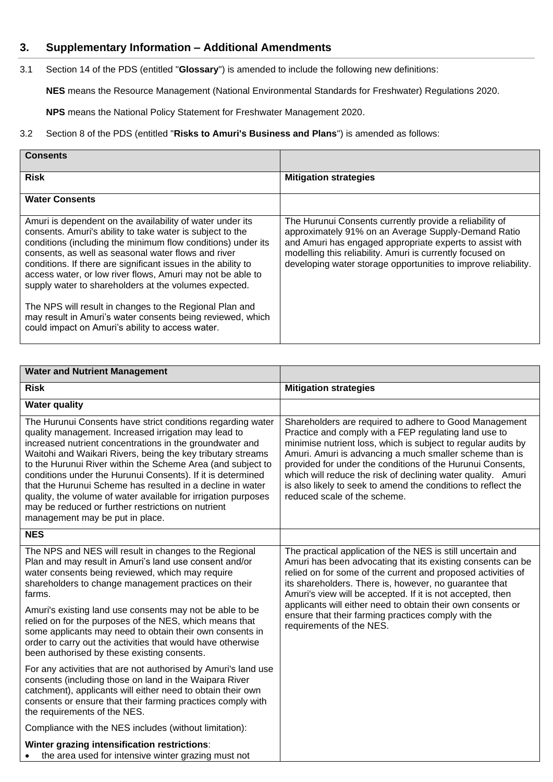# **3. Supplementary Information – Additional Amendments**

3.1 Section 14 of the PDS (entitled "**Glossary**") is amended to include the following new definitions:

**NES** means the Resource Management (National Environmental Standards for Freshwater) Regulations 2020.

**NPS** means the National Policy Statement for Freshwater Management 2020.

## 3.2 Section 8 of the PDS (entitled "**Risks to Amuri's Business and Plans**") is amended as follows:

| Consents                                                                                                                                                                                                                                                                                                                                                                                                                                                                                                                                                                                                           |                                                                                                                                                                                                                                                                                                           |
|--------------------------------------------------------------------------------------------------------------------------------------------------------------------------------------------------------------------------------------------------------------------------------------------------------------------------------------------------------------------------------------------------------------------------------------------------------------------------------------------------------------------------------------------------------------------------------------------------------------------|-----------------------------------------------------------------------------------------------------------------------------------------------------------------------------------------------------------------------------------------------------------------------------------------------------------|
| <b>Risk</b>                                                                                                                                                                                                                                                                                                                                                                                                                                                                                                                                                                                                        | <b>Mitigation strategies</b>                                                                                                                                                                                                                                                                              |
| <b>Water Consents</b>                                                                                                                                                                                                                                                                                                                                                                                                                                                                                                                                                                                              |                                                                                                                                                                                                                                                                                                           |
| Amuri is dependent on the availability of water under its<br>consents. Amuri's ability to take water is subject to the<br>conditions (including the minimum flow conditions) under its<br>consents, as well as seasonal water flows and river<br>conditions. If there are significant issues in the ability to<br>access water, or low river flows, Amuri may not be able to<br>supply water to shareholders at the volumes expected.<br>The NPS will result in changes to the Regional Plan and<br>may result in Amuri's water consents being reviewed, which<br>could impact on Amuri's ability to access water. | The Hurunui Consents currently provide a reliability of<br>approximately 91% on an Average Supply-Demand Ratio<br>and Amuri has engaged appropriate experts to assist with<br>modelling this reliability. Amuri is currently focused on<br>developing water storage opportunities to improve reliability. |

| <b>Water and Nutrient Management</b>                                                                                                                                                                                                                                                                                                                                                                                                                                                                                                                                                                  |                                                                                                                                                                                                                                                                                                                                                                                                                                                                            |
|-------------------------------------------------------------------------------------------------------------------------------------------------------------------------------------------------------------------------------------------------------------------------------------------------------------------------------------------------------------------------------------------------------------------------------------------------------------------------------------------------------------------------------------------------------------------------------------------------------|----------------------------------------------------------------------------------------------------------------------------------------------------------------------------------------------------------------------------------------------------------------------------------------------------------------------------------------------------------------------------------------------------------------------------------------------------------------------------|
| <b>Risk</b>                                                                                                                                                                                                                                                                                                                                                                                                                                                                                                                                                                                           | <b>Mitigation strategies</b>                                                                                                                                                                                                                                                                                                                                                                                                                                               |
| <b>Water quality</b>                                                                                                                                                                                                                                                                                                                                                                                                                                                                                                                                                                                  |                                                                                                                                                                                                                                                                                                                                                                                                                                                                            |
| The Hurunui Consents have strict conditions regarding water<br>quality management. Increased irrigation may lead to<br>increased nutrient concentrations in the groundwater and<br>Waitohi and Waikari Rivers, being the key tributary streams<br>to the Hurunui River within the Scheme Area (and subject to<br>conditions under the Hurunui Consents). If it is determined<br>that the Hurunui Scheme has resulted in a decline in water<br>quality, the volume of water available for irrigation purposes<br>may be reduced or further restrictions on nutrient<br>management may be put in place. | Shareholders are required to adhere to Good Management<br>Practice and comply with a FEP regulating land use to<br>minimise nutrient loss, which is subject to regular audits by<br>Amuri. Amuri is advancing a much smaller scheme than is<br>provided for under the conditions of the Hurunui Consents,<br>which will reduce the risk of declining water quality. Amuri<br>is also likely to seek to amend the conditions to reflect the<br>reduced scale of the scheme. |
| <b>NES</b>                                                                                                                                                                                                                                                                                                                                                                                                                                                                                                                                                                                            |                                                                                                                                                                                                                                                                                                                                                                                                                                                                            |
| The NPS and NES will result in changes to the Regional<br>Plan and may result in Amuri's land use consent and/or<br>water consents being reviewed, which may require<br>shareholders to change management practices on their<br>farms.                                                                                                                                                                                                                                                                                                                                                                | The practical application of the NES is still uncertain and<br>Amuri has been advocating that its existing consents can be<br>relied on for some of the current and proposed activities of<br>its shareholders. There is, however, no guarantee that<br>Amuri's view will be accepted. If it is not accepted, then<br>applicants will either need to obtain their own consents or<br>ensure that their farming practices comply with the<br>requirements of the NES.       |
| Amuri's existing land use consents may not be able to be<br>relied on for the purposes of the NES, which means that<br>some applicants may need to obtain their own consents in<br>order to carry out the activities that would have otherwise<br>been authorised by these existing consents.                                                                                                                                                                                                                                                                                                         |                                                                                                                                                                                                                                                                                                                                                                                                                                                                            |
| For any activities that are not authorised by Amuri's land use<br>consents (including those on land in the Waipara River<br>catchment), applicants will either need to obtain their own<br>consents or ensure that their farming practices comply with<br>the requirements of the NES.                                                                                                                                                                                                                                                                                                                |                                                                                                                                                                                                                                                                                                                                                                                                                                                                            |
| Compliance with the NES includes (without limitation):                                                                                                                                                                                                                                                                                                                                                                                                                                                                                                                                                |                                                                                                                                                                                                                                                                                                                                                                                                                                                                            |
| Winter grazing intensification restrictions:<br>the area used for intensive winter grazing must not                                                                                                                                                                                                                                                                                                                                                                                                                                                                                                   |                                                                                                                                                                                                                                                                                                                                                                                                                                                                            |